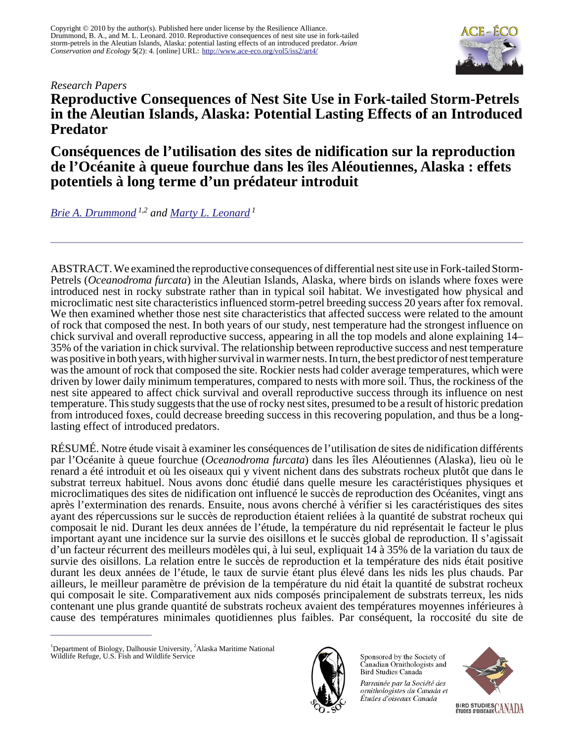### *Research Papers*



**Reproductive Consequences of Nest Site Use in Fork-tailed Storm-Petrels in the Aleutian Islands, Alaska: Potential Lasting Effects of an Introduced Predator**

**Conséquences de l'utilisation des sites de nidification sur la reproduction de l'Océanite à queue fourchue dans les îles Aléoutiennes, Alaska : effets potentiels à long terme d'un prédateur introduit**

*[Brie A. Drummond](mailto:Brie_Drummond@fws.gov) 1,2 and [Marty L. Leonard](mailto:mleonard@dal.ca)<sup>1</sup>*

ABSTRACT. We examined the reproductive consequences of differential nest site use in Fork-tailed Storm-Petrels (*Oceanodroma furcata*) in the Aleutian Islands, Alaska, where birds on islands where foxes were introduced nest in rocky substrate rather than in typical soil habitat. We investigated how physical and microclimatic nest site characteristics influenced storm-petrel breeding success 20 years after fox removal. We then examined whether those nest site characteristics that affected success were related to the amount of rock that composed the nest. In both years of our study, nest temperature had the strongest influence on chick survival and overall reproductive success, appearing in all the top models and alone explaining 14– 35% of the variation in chick survival. The relationship between reproductive success and nest temperature was positive in both years, with higher survival in warmer nests. In turn, the best predictor of nest temperature was the amount of rock that composed the site. Rockier nests had colder average temperatures, which were driven by lower daily minimum temperatures, compared to nests with more soil. Thus, the rockiness of the nest site appeared to affect chick survival and overall reproductive success through its influence on nest temperature. This study suggests that the use of rocky nest sites, presumed to be a result of historic predation from introduced foxes, could decrease breeding success in this recovering population, and thus be a longlasting effect of introduced predators.

RÉSUMÉ. Notre étude visait à examiner les conséquences de l'utilisation de sites de nidification différents par l'Océanite à queue fourchue (*Oceanodroma furcata*) dans les îles Aléoutiennes (Alaska), lieu où le renard a été introduit et où les oiseaux qui y vivent nichent dans des substrats rocheux plutôt que dans le substrat terreux habituel. Nous avons donc étudié dans quelle mesure les caractéristiques physiques et microclimatiques des sites de nidification ont influencé le succès de reproduction des Océanites, vingt ans après l'extermination des renards. Ensuite, nous avons cherché à vérifier si les caractéristiques des sites ayant des répercussions sur le succès de reproduction étaient reliées à la quantité de substrat rocheux qui composait le nid. Durant les deux années de l'étude, la température du nid représentait le facteur le plus important ayant une incidence sur la survie des oisillons et le succès global de reproduction. Il s'agissait d'un facteur récurrent des meilleurs modèles qui, à lui seul, expliquait 14 à 35% de la variation du taux de survie des oisillons. La relation entre le succès de reproduction et la température des nids était positive durant les deux années de l'étude, le taux de survie étant plus élevé dans les nids les plus chauds. Par ailleurs, le meilleur paramètre de prévision de la température du nid était la quantité de substrat rocheux qui composait le site. Comparativement aux nids composés principalement de substrats terreux, les nids contenant une plus grande quantité de substrats rocheux avaient des températures moyennes inférieures à cause des températures minimales quotidiennes plus faibles. Par conséquent, la roccosité du site de

<sup>&</sup>lt;sup>1</sup>Department of Biology, Dalhousie University, <sup>2</sup>Alaska Maritime National Wildlife Refuge, U.S. Fish and Wildlife Service



Sponsored by the Society of Canadian Ornithologists and Bird Studies Canada

Parrainée par la Société des ornithologistes du Canada et Études d'oiseaux Canada

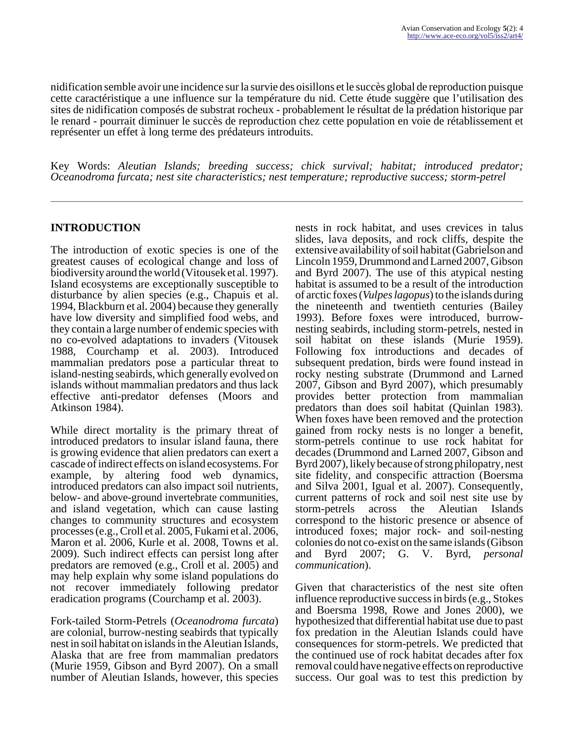nidification semble avoir une incidence sur la survie des oisillons et le succès global de reproduction puisque cette caractéristique a une influence sur la température du nid. Cette étude suggère que l'utilisation des sites de nidification composés de substrat rocheux - probablement le résultat de la prédation historique par le renard - pourrait diminuer le succès de reproduction chez cette population en voie de rétablissement et représenter un effet à long terme des prédateurs introduits.

Key Words: *Aleutian Islands; breeding success; chick survival; habitat; introduced predator; Oceanodroma furcata; nest site characteristics; nest temperature; reproductive success; storm-petrel*

# **INTRODUCTION**

The introduction of exotic species is one of the greatest causes of ecological change and loss of biodiversity around the world (Vitousek et al. 1997). Island ecosystems are exceptionally susceptible to disturbance by alien species (e.g., Chapuis et al. 1994, Blackburn et al. 2004) because they generally have low diversity and simplified food webs, and they contain a large number of endemic species with no co-evolved adaptations to invaders (Vitousek 1988, Courchamp et al. 2003). Introduced mammalian predators pose a particular threat to island-nesting seabirds, which generally evolved on islands without mammalian predators and thus lack effective anti-predator defenses (Moors and Atkinson 1984).

While direct mortality is the primary threat of introduced predators to insular island fauna, there is growing evidence that alien predators can exert a cascade of indirect effects on island ecosystems. For example, by altering food web dynamics, introduced predators can also impact soil nutrients, below- and above-ground invertebrate communities, and island vegetation, which can cause lasting changes to community structures and ecosystem processes (e.g., Croll et al. 2005, Fukami et al. 2006, Maron et al. 2006, Kurle et al. 2008, Towns et al. 2009). Such indirect effects can persist long after predators are removed (e.g., Croll et al. 2005) and may help explain why some island populations do not recover immediately following predator eradication programs (Courchamp et al. 2003).

Fork-tailed Storm-Petrels (*Oceanodroma furcata*) are colonial, burrow-nesting seabirds that typically nest in soil habitat on islands in the Aleutian Islands, Alaska that are free from mammalian predators (Murie 1959, Gibson and Byrd 2007). On a small number of Aleutian Islands, however, this species

nests in rock habitat, and uses crevices in talus slides, lava deposits, and rock cliffs, despite the extensive availability of soil habitat (Gabrielson and Lincoln 1959, Drummond and Larned 2007, Gibson and Byrd 2007). The use of this atypical nesting habitat is assumed to be a result of the introduction of arctic foxes (*Vulpes lagopus*) to the islands during the nineteenth and twentieth centuries (Bailey 1993). Before foxes were introduced, burrownesting seabirds, including storm-petrels, nested in soil habitat on these islands (Murie 1959). Following fox introductions and decades of subsequent predation, birds were found instead in rocky nesting substrate (Drummond and Larned 2007, Gibson and Byrd 2007), which presumably provides better protection from mammalian predators than does soil habitat (Quinlan 1983). When foxes have been removed and the protection gained from rocky nests is no longer a benefit, storm-petrels continue to use rock habitat for decades (Drummond and Larned 2007, Gibson and Byrd 2007), likely because of strong philopatry, nest site fidelity, and conspecific attraction (Boersma and Silva 2001, Igual et al. 2007). Consequently, current patterns of rock and soil nest site use by storm-petrels across the Aleutian Islands correspond to the historic presence or absence of introduced foxes; major rock- and soil-nesting colonies do not co-exist on the same islands (Gibson and Byrd 2007; G. V. Byrd, *personal communication*).

Given that characteristics of the nest site often influence reproductive success in birds (e.g., Stokes and Boersma 1998, Rowe and Jones 2000), we hypothesized that differential habitat use due to past fox predation in the Aleutian Islands could have consequences for storm-petrels. We predicted that the continued use of rock habitat decades after fox removal could have negative effects on reproductive success. Our goal was to test this prediction by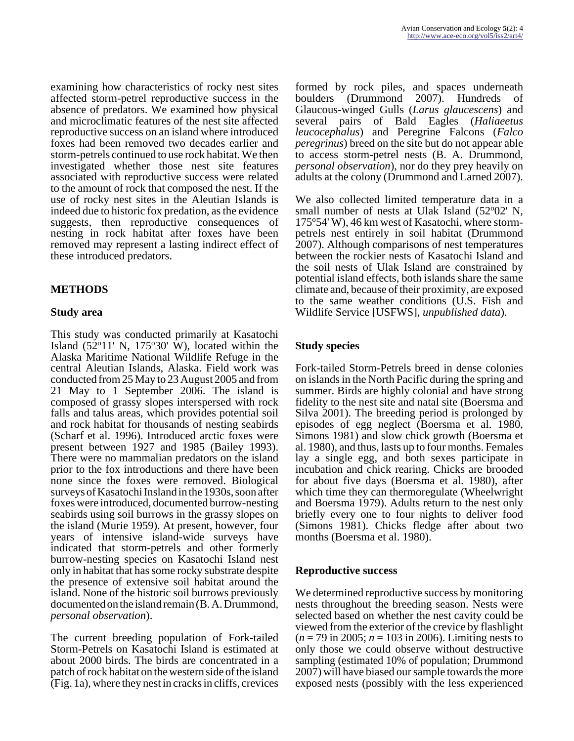examining how characteristics of rocky nest sites affected storm-petrel reproductive success in the absence of predators. We examined how physical and microclimatic features of the nest site affected reproductive success on an island where introduced foxes had been removed two decades earlier and storm-petrels continued to use rock habitat. We then investigated whether those nest site features associated with reproductive success were related to the amount of rock that composed the nest. If the use of rocky nest sites in the Aleutian Islands is indeed due to historic fox predation, as the evidence suggests, then reproductive consequences of nesting in rock habitat after foxes have been removed may represent a lasting indirect effect of these introduced predators.

# **METHODS**

# **Study area**

This study was conducted primarily at Kasatochi Island  $(52^{\circ}11' \text{ N}, 175^{\circ}30' \text{ W})$ , located within the Alaska Maritime National Wildlife Refuge in the central Aleutian Islands, Alaska. Field work was conducted from 25 May to 23 August 2005 and from 21 May to 1 September 2006. The island is composed of grassy slopes interspersed with rock falls and talus areas, which provides potential soil and rock habitat for thousands of nesting seabirds (Scharf et al. 1996). Introduced arctic foxes were present between 1927 and 1985 (Bailey 1993). There were no mammalian predators on the island prior to the fox introductions and there have been none since the foxes were removed. Biological surveys of Kasatochi Insland in the 1930s, soon after foxes were introduced, documented burrow-nesting seabirds using soil burrows in the grassy slopes on the island (Murie 1959). At present, however, four years of intensive island-wide surveys have indicated that storm-petrels and other formerly burrow-nesting species on Kasatochi Island nest only in habitat that has some rocky substrate despite the presence of extensive soil habitat around the island. None of the historic soil burrows previously documented on the island remain (B. A. Drummond, *personal observation*).

The current breeding population of Fork-tailed Storm-Petrels on Kasatochi Island is estimated at about 2000 birds. The birds are concentrated in a patch of rock habitat on the western side of the island (Fig. 1a), where they nest in cracks in cliffs, crevices

formed by rock piles, and spaces underneath boulders (Drummond 2007). Hundreds of Glaucous-winged Gulls (*Larus glaucescens*) and several pairs of Bald Eagles (*Haliaeetus leucocephalus*) and Peregrine Falcons (*Falco peregrinus*) breed on the site but do not appear able to access storm-petrel nests (B. A. Drummond, *personal observation*), nor do they prey heavily on adults at the colony (Drummond and Larned 2007).

We also collected limited temperature data in a small number of nests at Ulak Island  $(52^{\circ}02' \text{ N},$ 175o54' W), 46 km west of Kasatochi, where stormpetrels nest entirely in soil habitat (Drummond 2007). Although comparisons of nest temperatures between the rockier nests of Kasatochi Island and the soil nests of Ulak Island are constrained by potential island effects, both islands share the same climate and, because of their proximity, are exposed to the same weather conditions (U.S. Fish and Wildlife Service [USFWS], *unpublished data*).

# **Study species**

Fork-tailed Storm-Petrels breed in dense colonies on islands in the North Pacific during the spring and summer. Birds are highly colonial and have strong fidelity to the nest site and natal site (Boersma and Silva 2001). The breeding period is prolonged by episodes of egg neglect (Boersma et al. 1980, Simons 1981) and slow chick growth (Boersma et al. 1980), and thus, lasts up to four months. Females lay a single egg, and both sexes participate in incubation and chick rearing. Chicks are brooded for about five days (Boersma et al. 1980), after which time they can thermoregulate (Wheelwright and Boersma 1979). Adults return to the nest only briefly every one to four nights to deliver food (Simons 1981). Chicks fledge after about two months (Boersma et al. 1980).

#### **Reproductive success**

We determined reproductive success by monitoring nests throughout the breeding season. Nests were selected based on whether the nest cavity could be viewed from the exterior of the crevice by flashlight (*n* = 79 in 2005; *n* = 103 in 2006). Limiting nests to only those we could observe without destructive sampling (estimated 10% of population; Drummond 2007) will have biased our sample towards the more exposed nests (possibly with the less experienced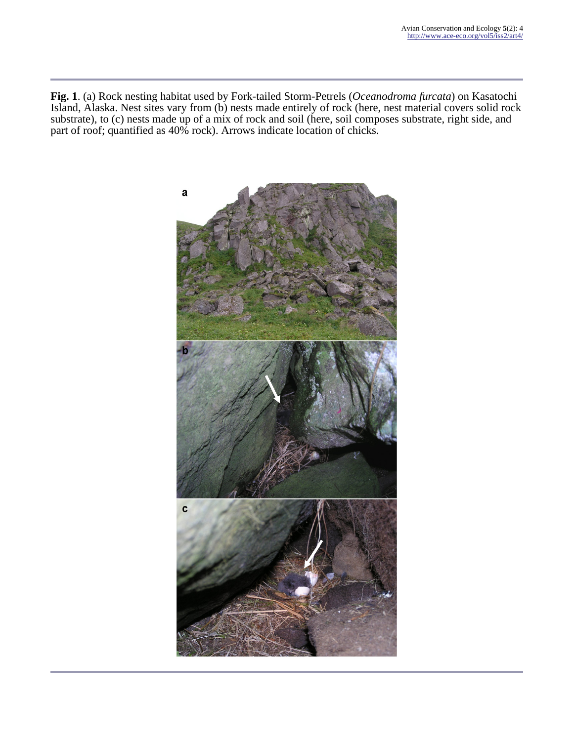**Fig. 1**. (a) Rock nesting habitat used by Fork-tailed Storm-Petrels (*Oceanodroma furcata*) on Kasatochi Island, Alaska. Nest sites vary from (b) nests made entirely of rock (here, nest material covers solid rock substrate), to (c) nests made up of a mix of rock and soil (here, soil composes substrate, right side, and part of roof; quantified as 40% rock). Arrows indicate location of chicks.

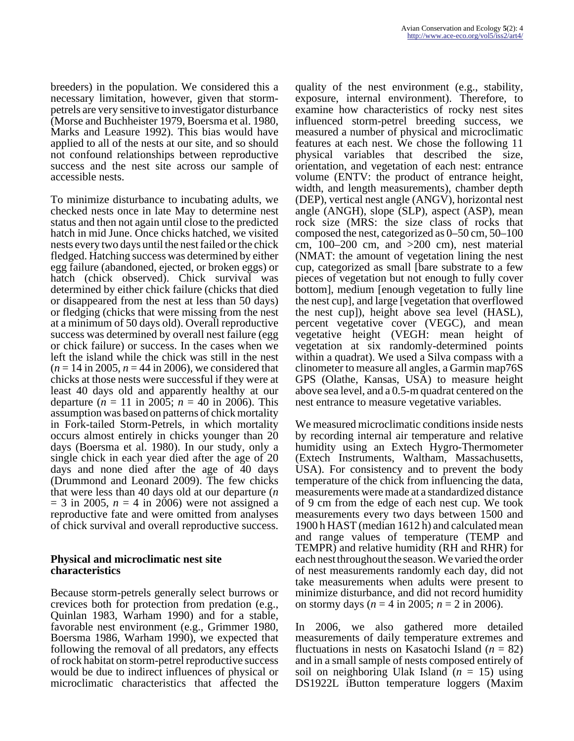breeders) in the population. We considered this a necessary limitation, however, given that stormpetrels are very sensitive to investigator disturbance (Morse and Buchheister 1979, Boersma et al. 1980, Marks and Leasure 1992). This bias would have applied to all of the nests at our site, and so should not confound relationships between reproductive success and the nest site across our sample of accessible nests.

To minimize disturbance to incubating adults, we checked nests once in late May to determine nest status and then not again until close to the predicted hatch in mid June. Once chicks hatched, we visited nests every two days until the nest failed or the chick fledged. Hatching success was determined by either egg failure (abandoned, ejected, or broken eggs) or hatch (chick observed). Chick survival was determined by either chick failure (chicks that died or disappeared from the nest at less than 50 days) or fledging (chicks that were missing from the nest at a minimum of 50 days old). Overall reproductive success was determined by overall nest failure (egg or chick failure) or success. In the cases when we left the island while the chick was still in the nest  $(n = 14 \text{ in } 2005, n = 44 \text{ in } 2006)$ , we considered that chicks at those nests were successful if they were at least 40 days old and apparently healthy at our departure ( $n = 11$  in 2005;  $n = 40$  in 2006). This assumption was based on patterns of chick mortality in Fork-tailed Storm-Petrels, in which mortality occurs almost entirely in chicks younger than 20 days (Boersma et al. 1980). In our study, only a single chick in each year died after the age of 20 days and none died after the age of 40 days (Drummond and Leonard 2009). The few chicks that were less than 40 days old at our departure (*n*  $= 3$  in 2005,  $n = 4$  in 2006) were not assigned a reproductive fate and were omitted from analyses of chick survival and overall reproductive success.

### **Physical and microclimatic nest site characteristics**

Because storm-petrels generally select burrows or crevices both for protection from predation (e.g., Quinlan 1983, Warham 1990) and for a stable, favorable nest environment (e.g., Grimmer 1980, Boersma 1986, Warham 1990), we expected that following the removal of all predators, any effects of rock habitat on storm-petrel reproductive success would be due to indirect influences of physical or microclimatic characteristics that affected the

quality of the nest environment (e.g., stability, exposure, internal environment). Therefore, to examine how characteristics of rocky nest sites influenced storm-petrel breeding success, we measured a number of physical and microclimatic features at each nest. We chose the following 11 physical variables that described the size, orientation, and vegetation of each nest: entrance volume (ENTV: the product of entrance height, width, and length measurements), chamber depth (DEP), vertical nest angle (ANGV), horizontal nest angle (ANGH), slope (SLP), aspect (ASP), mean rock size (MRS: the size class of rocks that composed the nest, categorized as 0–50 cm, 50–100 cm,  $100-200$  cm, and  $>200$  cm), nest material (NMAT: the amount of vegetation lining the nest cup, categorized as small [bare substrate to a few pieces of vegetation but not enough to fully cover bottom], medium [enough vegetation to fully line the nest cup], and large [vegetation that overflowed the nest cup]), height above sea level (HASL), percent vegetative cover (VEGC), and mean vegetative height (VEGH: mean height of vegetation at six randomly-determined points within a quadrat). We used a Silva compass with a clinometer to measure all angles, a Garmin map76S GPS (Olathe, Kansas, USA) to measure height above sea level, and a 0.5-m quadrat centered on the nest entrance to measure vegetative variables.

We measured microclimatic conditions inside nests by recording internal air temperature and relative humidity using an Extech Hygro-Thermometer (Extech Instruments, Waltham, Massachusetts, USA). For consistency and to prevent the body temperature of the chick from influencing the data, measurements were made at a standardized distance of 9 cm from the edge of each nest cup. We took measurements every two days between 1500 and 1900 h HAST (median 1612 h) and calculated mean and range values of temperature (TEMP and TEMPR) and relative humidity (RH and RHR) for each nest throughout the season. We varied the order of nest measurements randomly each day, did not take measurements when adults were present to minimize disturbance, and did not record humidity on stormy days ( $n = 4$  in 2005;  $n = 2$  in 2006).

In 2006, we also gathered more detailed measurements of daily temperature extremes and fluctuations in nests on Kasatochi Island (*n* = 82) and in a small sample of nests composed entirely of soil on neighboring Ulak Island (*n* = 15) using DS1922L iButton temperature loggers (Maxim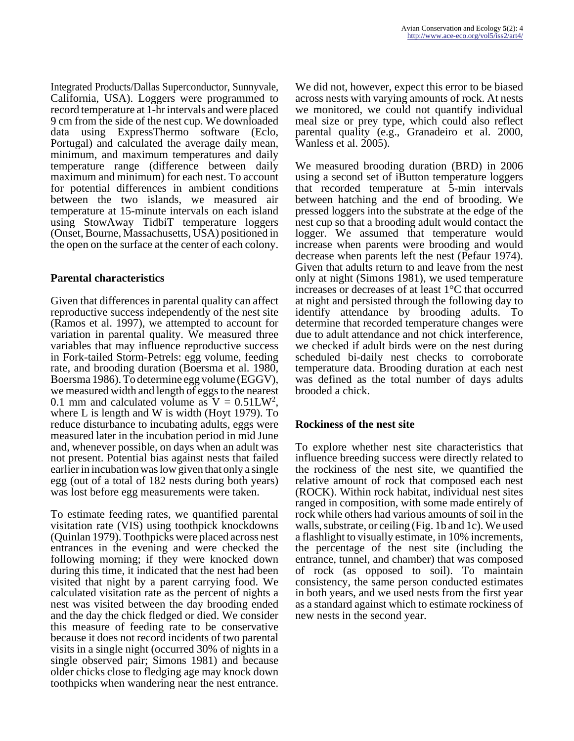Integrated Products/Dallas Superconductor, Sunnyvale, California, USA). Loggers were programmed to record temperature at 1-hr intervals and were placed 9 cm from the side of the nest cup. We downloaded data using ExpressThermo software (Eclo, Portugal) and calculated the average daily mean, minimum, and maximum temperatures and daily temperature range (difference between daily maximum and minimum) for each nest. To account for potential differences in ambient conditions between the two islands, we measured air temperature at 15-minute intervals on each island using StowAway TidbiT temperature loggers (Onset, Bourne, Massachusetts, USA) positioned in the open on the surface at the center of each colony.

# **Parental characteristics**

Given that differences in parental quality can affect reproductive success independently of the nest site (Ramos et al. 1997), we attempted to account for variation in parental quality. We measured three variables that may influence reproductive success in Fork-tailed Storm-Petrels: egg volume, feeding rate, and brooding duration (Boersma et al. 1980, Boersma 1986). To determine egg volume (EGGV), we measured width and length of eggs to the nearest 0.1 mm and calculated volume as  $V = 0.51LW^2$ , where L is length and W is width (Hoyt 1979). To reduce disturbance to incubating adults, eggs were measured later in the incubation period in mid June and, whenever possible, on days when an adult was not present. Potential bias against nests that failed earlier in incubation was low given that only a single egg (out of a total of 182 nests during both years) was lost before egg measurements were taken.

To estimate feeding rates, we quantified parental visitation rate (VIS) using toothpick knockdowns (Quinlan 1979). Toothpicks were placed across nest entrances in the evening and were checked the following morning; if they were knocked down during this time, it indicated that the nest had been visited that night by a parent carrying food. We calculated visitation rate as the percent of nights a nest was visited between the day brooding ended and the day the chick fledged or died. We consider this measure of feeding rate to be conservative because it does not record incidents of two parental visits in a single night (occurred 30% of nights in a single observed pair; Simons 1981) and because older chicks close to fledging age may knock down toothpicks when wandering near the nest entrance.

We did not, however, expect this error to be biased across nests with varying amounts of rock. At nests we monitored, we could not quantify individual meal size or prey type, which could also reflect parental quality (e.g., Granadeiro et al. 2000, Wanless et al. 2005).

We measured brooding duration (BRD) in 2006 using a second set of iButton temperature loggers that recorded temperature at 5-min intervals between hatching and the end of brooding. We pressed loggers into the substrate at the edge of the nest cup so that a brooding adult would contact the logger. We assumed that temperature would increase when parents were brooding and would decrease when parents left the nest (Pefaur 1974). Given that adults return to and leave from the nest only at night (Simons 1981), we used temperature increases or decreases of at least 1°C that occurred at night and persisted through the following day to identify attendance by brooding adults. To determine that recorded temperature changes were due to adult attendance and not chick interference, we checked if adult birds were on the nest during scheduled bi-daily nest checks to corroborate temperature data. Brooding duration at each nest was defined as the total number of days adults brooded a chick.

# **Rockiness of the nest site**

To explore whether nest site characteristics that influence breeding success were directly related to the rockiness of the nest site, we quantified the relative amount of rock that composed each nest (ROCK). Within rock habitat, individual nest sites ranged in composition, with some made entirely of rock while others had various amounts of soil in the walls, substrate, or ceiling (Fig. 1b and 1c). We used a flashlight to visually estimate, in 10% increments, the percentage of the nest site (including the entrance, tunnel, and chamber) that was composed of rock (as opposed to soil). To maintain consistency, the same person conducted estimates in both years, and we used nests from the first year as a standard against which to estimate rockiness of new nests in the second year.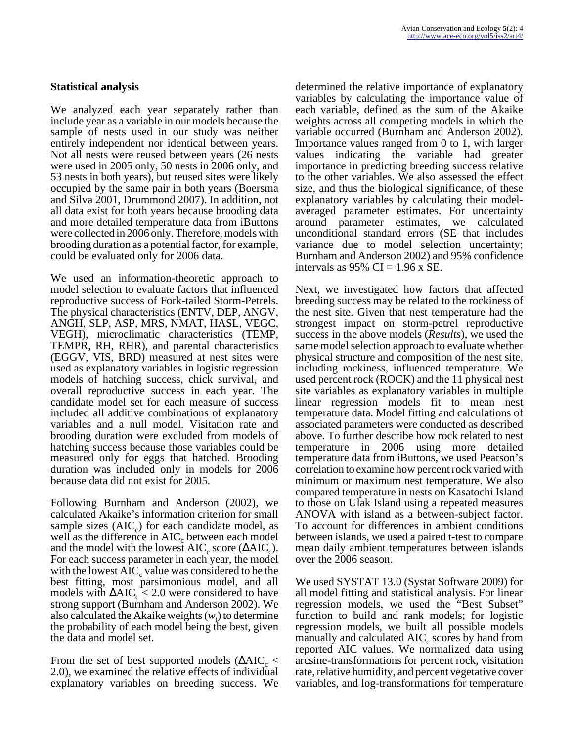### **Statistical analysis**

We analyzed each year separately rather than include year as a variable in our models because the sample of nests used in our study was neither entirely independent nor identical between years. Not all nests were reused between years (26 nests were used in 2005 only, 50 nests in 2006 only, and 53 nests in both years), but reused sites were likely occupied by the same pair in both years (Boersma and Silva 2001, Drummond 2007). In addition, not all data exist for both years because brooding data and more detailed temperature data from iButtons were collected in 2006 only. Therefore, models with brooding duration as a potential factor, for example, could be evaluated only for 2006 data.

We used an information-theoretic approach to model selection to evaluate factors that influenced reproductive success of Fork-tailed Storm-Petrels. The physical characteristics (ENTV, DEP, ANGV, ANGH, SLP, ASP, MRS, NMAT, HASL, VEGC, VEGH), microclimatic characteristics (TEMP, TEMPR, RH, RHR), and parental characteristics (EGGV, VIS, BRD) measured at nest sites were used as explanatory variables in logistic regression models of hatching success, chick survival, and overall reproductive success in each year. The candidate model set for each measure of success included all additive combinations of explanatory variables and a null model. Visitation rate and brooding duration were excluded from models of hatching success because those variables could be measured only for eggs that hatched. Brooding duration was included only in models for 2006 because data did not exist for 2005.

Following Burnham and Anderson (2002), we calculated Akaike's information criterion for small sample sizes  $(AIC_c)$  for each candidate model, as well as the difference in  $AIC_c$  between each model and the model with the lowest  $AIC_c$  score ( $\triangle AIC_c$ ). For each success parameter in each year, the model with the lowest  $AIC_c$  value was considered to be the best fitting, most parsimonious model, and all models with  $\Delta AIC_c < 2.0$  were considered to have strong support (Burnham and Anderson 2002). We also calculated the Akaike weights (*w*<sup>i</sup> ) to determine the probability of each model being the best, given the data and model set.

From the set of best supported models  $(\Delta AIC_{c} \leq$ 2.0), we examined the relative effects of individual explanatory variables on breeding success. We determined the relative importance of explanatory variables by calculating the importance value of each variable, defined as the sum of the Akaike weights across all competing models in which the variable occurred (Burnham and Anderson 2002). Importance values ranged from 0 to 1, with larger values indicating the variable had greater importance in predicting breeding success relative to the other variables. We also assessed the effect size, and thus the biological significance, of these explanatory variables by calculating their modelaveraged parameter estimates. For uncertainty around parameter estimates, we calculated unconditional standard errors (SE that includes variance due to model selection uncertainty; Burnham and Anderson 2002) and 95% confidence intervals as  $95\%$  CI = 1.96 x SE.

Next, we investigated how factors that affected breeding success may be related to the rockiness of the nest site. Given that nest temperature had the strongest impact on storm-petrel reproductive success in the above models (*Results*), we used the same model selection approach to evaluate whether physical structure and composition of the nest site, including rockiness, influenced temperature. We used percent rock (ROCK) and the 11 physical nest site variables as explanatory variables in multiple linear regression models fit to mean nest temperature data. Model fitting and calculations of associated parameters were conducted as described above. To further describe how rock related to nest temperature in 2006 using more detailed temperature data from iButtons, we used Pearson's correlation to examine how percent rock varied with minimum or maximum nest temperature. We also compared temperature in nests on Kasatochi Island to those on Ulak Island using a repeated measures ANOVA with island as a between-subject factor. To account for differences in ambient conditions between islands, we used a paired t-test to compare mean daily ambient temperatures between islands over the 2006 season.

We used SYSTAT 13.0 (Systat Software 2009) for all model fitting and statistical analysis. For linear regression models, we used the "Best Subset" function to build and rank models; for logistic regression models, we built all possible models manually and calculated  $AIC_c$  scores by hand from reported AIC values. We normalized data using arcsine-transformations for percent rock, visitation rate, relative humidity, and percent vegetative cover variables, and log-transformations for temperature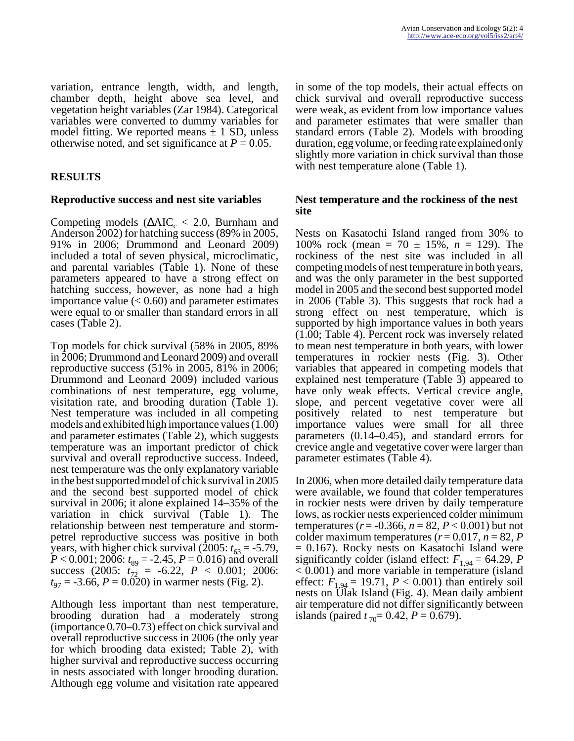variation, entrance length, width, and length, chamber depth, height above sea level, and vegetation height variables (Zar 1984). Categorical variables were converted to dummy variables for model fitting. We reported means  $\pm$  1 SD, unless otherwise noted, and set significance at  $P = 0.05$ .

# **RESULTS**

### **Reproductive success and nest site variables**

Competing models ( $\triangle AIC_c < 2.0$ , Burnham and Anderson 2002) for hatching success (89% in 2005, 91% in 2006; Drummond and Leonard 2009) included a total of seven physical, microclimatic, and parental variables (Table 1). None of these parameters appeared to have a strong effect on hatching success, however, as none had a high importance value  $(< 0.60$ ) and parameter estimates were equal to or smaller than standard errors in all cases (Table 2).

Top models for chick survival (58% in 2005, 89% in 2006; Drummond and Leonard 2009) and overall reproductive success (51% in 2005, 81% in 2006; Drummond and Leonard 2009) included various combinations of nest temperature, egg volume, visitation rate, and brooding duration (Table 1). Nest temperature was included in all competing models and exhibited high importance values (1.00) and parameter estimates (Table 2), which suggests temperature was an important predictor of chick survival and overall reproductive success. Indeed, nest temperature was the only explanatory variable in the best supported model of chick survival in 2005 and the second best supported model of chick survival in 2006; it alone explained 14–35% of the variation in chick survival (Table 1). The relationship between nest temperature and stormpetrel reproductive success was positive in both years, with higher chick survival (2005:  $t_{63} = -5.79$ ,  $P < 0.001$ ; 2006:  $t_{89} = -2.45$ ,  $P = 0.016$ ) and overall success (2005:  $t_{72}$  = -6.22,  $P < 0.001$ ; 2006:  $t_{97} = -3.66$ ,  $P = 0.020$ ) in warmer nests (Fig. 2).

Although less important than nest temperature, brooding duration had a moderately strong (importance 0.70–0.73) effect on chick survival and overall reproductive success in 2006 (the only year for which brooding data existed; Table 2), with higher survival and reproductive success occurring in nests associated with longer brooding duration. Although egg volume and visitation rate appeared

in some of the top models, their actual effects on chick survival and overall reproductive success were weak, as evident from low importance values and parameter estimates that were smaller than standard errors (Table 2). Models with brooding duration, egg volume, or feeding rate explained only slightly more variation in chick survival than those with nest temperature alone (Table 1).

### **Nest temperature and the rockiness of the nest site**

Nests on Kasatochi Island ranged from 30% to 100% rock (mean = 70 ± 15%, *n* = 129). The rockiness of the nest site was included in all competing models of nest temperature in both years, and was the only parameter in the best supported model in 2005 and the second best supported model in 2006 (Table 3). This suggests that rock had a strong effect on nest temperature, which is supported by high importance values in both years (1.00; Table 4). Percent rock was inversely related to mean nest temperature in both years, with lower temperatures in rockier nests (Fig. 3). Other variables that appeared in competing models that explained nest temperature (Table 3) appeared to have only weak effects. Vertical crevice angle, slope, and percent vegetative cover were all positively related to nest temperature but importance values were small for all three parameters (0.14–0.45), and standard errors for crevice angle and vegetative cover were larger than parameter estimates (Table 4).

In 2006, when more detailed daily temperature data were available, we found that colder temperatures in rockier nests were driven by daily temperature lows, as rockier nests experienced colder minimum temperatures ( $r = -0.366$ ,  $n = 82$ ,  $P < 0.001$ ) but not colder maximum temperatures  $(r=0.017, n=82, P)$ = 0.167). Rocky nests on Kasatochi Island were significantly colder (island effect:  $F_{1,94} = 64.29$ , *P* < 0.001) and more variable in temperature (island effect:  $F_{1,94} = 19.71$ ,  $P < 0.001$ ) than entirely soil nests on Ulak Island (Fig. 4). Mean daily ambient air temperature did not differ significantly between islands (paired  $t_{70}$ = 0.42,  $P$  = 0.679).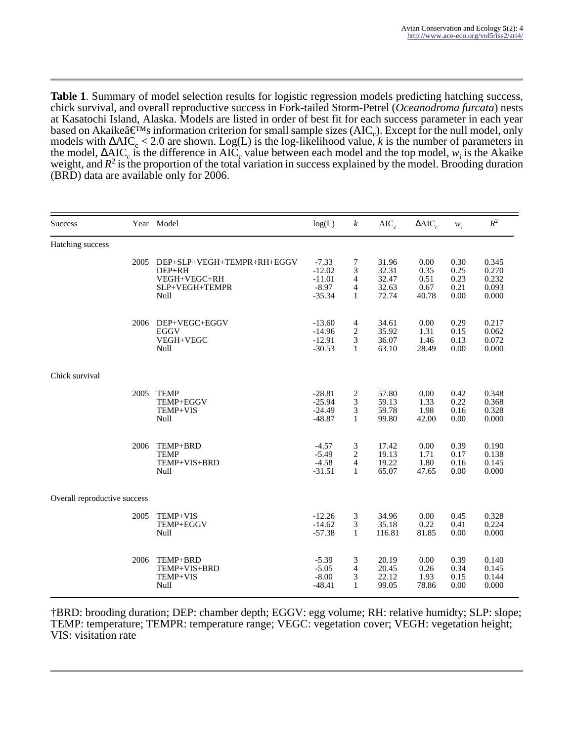**Table 1**. Summary of model selection results for logistic regression models predicting hatching success, chick survival, and overall reproductive success in Fork-tailed Storm-Petrel (*Oceanodroma furcata*) nests at Kasatochi Island, Alaska. Models are listed in order of best fit for each success parameter in each year based on Akaike $\hat{a} \in M_s$  information criterion for small sample sizes (AIC<sub>c</sub>). Except for the null model, only models with  $\Delta AIC_c < 2.0$  are shown. Log(L) is the log-likelihood value, *k* is the number of parameters in the model,  $\triangle AIC_c$  is the difference in AIC<sub>c</sub> value between each model and the top model, *w*<sub>i</sub> is the Akaike weight, and  $R^2$  is the proportion of the total variation in success explained by the model. Brooding duration (BRD) data are available only for 2006.

| <b>Success</b>               |      | Year Model                                                                     | log(L)                                                 | $\boldsymbol{k}$                              | $AIC_c$                                   | $\triangle AIC_c$                     | $w_{\rm i}$                          | $R^2$                                     |
|------------------------------|------|--------------------------------------------------------------------------------|--------------------------------------------------------|-----------------------------------------------|-------------------------------------------|---------------------------------------|--------------------------------------|-------------------------------------------|
| Hatching success             |      |                                                                                |                                                        |                                               |                                           |                                       |                                      |                                           |
|                              | 2005 | DEP+SLP+VEGH+TEMPR+RH+EGGV<br>DEP+RH<br>VEGH+VEGC+RH<br>SLP+VEGH+TEMPR<br>Null | $-7.33$<br>$-12.02$<br>$-11.01$<br>$-8.97$<br>$-35.34$ | 7<br>3<br>$\overline{4}$<br>4<br>$\mathbf{1}$ | 31.96<br>32.31<br>32.47<br>32.63<br>72.74 | 0.00<br>0.35<br>0.51<br>0.67<br>40.78 | 0.30<br>0.25<br>0.23<br>0.21<br>0.00 | 0.345<br>0.270<br>0.232<br>0.093<br>0.000 |
|                              | 2006 | DEP+VEGC+EGGV<br><b>EGGV</b><br>VEGH+VEGC<br>Null                              | $-13.60$<br>$-14.96$<br>$-12.91$<br>$-30.53$           | 4<br>$\overline{c}$<br>3<br>$\mathbf{1}$      | 34.61<br>35.92<br>36.07<br>63.10          | 0.00<br>1.31<br>1.46<br>28.49         | 0.29<br>0.15<br>0.13<br>0.00         | 0.217<br>0.062<br>0.072<br>0.000          |
| Chick survival               |      |                                                                                |                                                        |                                               |                                           |                                       |                                      |                                           |
|                              | 2005 | <b>TEMP</b><br>TEMP+EGGV<br>TEMP+VIS<br>Null                                   | $-28.81$<br>$-25.94$<br>$-24.49$<br>$-48.87$           | 2<br>3<br>3<br>$\mathbf{1}$                   | 57.80<br>59.13<br>59.78<br>99.80          | 0.00<br>1.33<br>1.98<br>42.00         | 0.42<br>0.22<br>0.16<br>0.00         | 0.348<br>0.368<br>0.328<br>0.000          |
|                              | 2006 | TEMP+BRD<br><b>TEMP</b><br>TEMP+VIS+BRD<br>Null                                | $-4.57$<br>$-5.49$<br>$-4.58$<br>$-31.51$              | 3<br>2<br>4<br>$\mathbf{1}$                   | 17.42<br>19.13<br>19.22<br>65.07          | 0.00<br>1.71<br>1.80<br>47.65         | 0.39<br>0.17<br>0.16<br>0.00         | 0.190<br>0.138<br>0.145<br>0.000          |
| Overall reproductive success |      |                                                                                |                                                        |                                               |                                           |                                       |                                      |                                           |
|                              | 2005 | TEMP+VIS<br>TEMP+EGGV<br>Null                                                  | $-12.26$<br>$-14.62$<br>$-57.38$                       | 3<br>3<br>$\mathbf{1}$                        | 34.96<br>35.18<br>116.81                  | 0.00<br>0.22<br>81.85                 | 0.45<br>0.41<br>0.00                 | 0.328<br>0.224<br>0.000                   |
|                              | 2006 | TEMP+BRD<br>TEMP+VIS+BRD<br>TEMP+VIS<br>Null                                   | $-5.39$<br>$-5.05$<br>$-8.00$<br>$-48.41$              | 3<br>$\overline{4}$<br>3<br>1                 | 20.19<br>20.45<br>22.12<br>99.05          | 0.00<br>0.26<br>1.93<br>78.86         | 0.39<br>0.34<br>0.15<br>0.00         | 0.140<br>0.145<br>0.144<br>0.000          |

†BRD: brooding duration; DEP: chamber depth; EGGV: egg volume; RH: relative humidty; SLP: slope; TEMP: temperature; TEMPR: temperature range; VEGC: vegetation cover; VEGH: vegetation height; VIS: visitation rate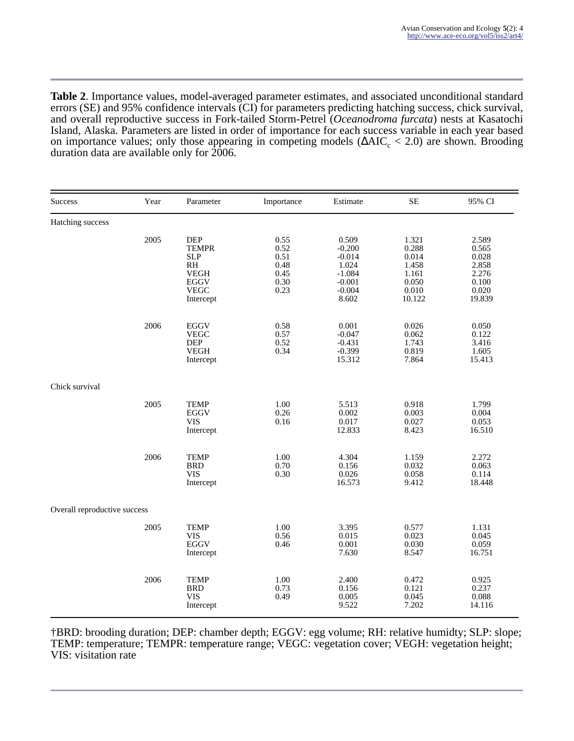**Table 2**. Importance values, model-averaged parameter estimates, and associated unconditional standard errors (SE) and 95% confidence intervals (CI) for parameters predicting hatching success, chick survival, and overall reproductive success in Fork-tailed Storm-Petrel (*Oceanodroma furcata*) nests at Kasatochi Island, Alaska. Parameters are listed in order of importance for each success variable in each year based on importance values; only those appearing in competing models  $(\Delta AIC_c < 2.0)$  are shown. Brooding duration data are available only for  $2006$ .

| Success                      | Year | Parameter                                                                                                            | Importance                                           | Estimate                                                                            | <b>SE</b>                                                             | 95% CI                                                                |  |  |
|------------------------------|------|----------------------------------------------------------------------------------------------------------------------|------------------------------------------------------|-------------------------------------------------------------------------------------|-----------------------------------------------------------------------|-----------------------------------------------------------------------|--|--|
| Hatching success             |      |                                                                                                                      |                                                      |                                                                                     |                                                                       |                                                                       |  |  |
|                              | 2005 | <b>DEP</b><br><b>TEMPR</b><br><b>SLP</b><br>R <sub>H</sub><br><b>VEGH</b><br><b>EGGV</b><br><b>VEGC</b><br>Intercept | 0.55<br>0.52<br>0.51<br>0.48<br>0.45<br>0.30<br>0.23 | 0.509<br>$-0.200$<br>$-0.014$<br>1.024<br>$-1.084$<br>$-0.001$<br>$-0.004$<br>8.602 | 1.321<br>0.288<br>0.014<br>1.458<br>1.161<br>0.050<br>0.010<br>10.122 | 2.589<br>0.565<br>0.028<br>2.858<br>2.276<br>0.100<br>0.020<br>19.839 |  |  |
|                              | 2006 | EGGV<br><b>VEGC</b><br><b>DEP</b><br><b>VEGH</b><br>Intercept                                                        | 0.58<br>0.57<br>0.52<br>0.34                         | 0.001<br>$-0.047$<br>$-0.431$<br>$-0.399$<br>15.312                                 | 0.026<br>0.062<br>1.743<br>0.819<br>7.864                             | 0.050<br>0.122<br>3.416<br>1.605<br>15.413                            |  |  |
| Chick survival               |      |                                                                                                                      |                                                      |                                                                                     |                                                                       |                                                                       |  |  |
|                              | 2005 | <b>TEMP</b><br><b>EGGV</b><br><b>VIS</b><br>Intercept                                                                | 1.00<br>0.26<br>0.16                                 | 5.513<br>0.002<br>0.017<br>12.833                                                   | 0.918<br>0.003<br>0.027<br>8.423                                      | 1.799<br>0.004<br>0.053<br>16.510                                     |  |  |
|                              | 2006 | <b>TEMP</b><br><b>BRD</b><br><b>VIS</b><br>Intercept                                                                 | 1.00<br>0.70<br>0.30                                 | 4.304<br>0.156<br>0.026<br>16.573                                                   | 1.159<br>0.032<br>0.058<br>9.412                                      | 2.272<br>0.063<br>0.114<br>18.448                                     |  |  |
| Overall reproductive success |      |                                                                                                                      |                                                      |                                                                                     |                                                                       |                                                                       |  |  |
|                              | 2005 | <b>TEMP</b><br><b>VIS</b><br><b>EGGV</b><br>Intercept                                                                | 1.00<br>0.56<br>0.46                                 | 3.395<br>0.015<br>0.001<br>7.630                                                    | 0.577<br>0.023<br>0.030<br>8.547                                      | 1.131<br>0.045<br>0.059<br>16.751                                     |  |  |
|                              | 2006 | <b>TEMP</b><br><b>BRD</b><br><b>VIS</b><br>Intercept                                                                 | 1.00<br>0.73<br>0.49                                 | 2.400<br>0.156<br>0.005<br>9.522                                                    | 0.472<br>0.121<br>0.045<br>7.202                                      | 0.925<br>0.237<br>0.088<br>14.116                                     |  |  |

†BRD: brooding duration; DEP: chamber depth; EGGV: egg volume; RH: relative humidty; SLP: slope; TEMP: temperature; TEMPR: temperature range; VEGC: vegetation cover; VEGH: vegetation height; VIS: visitation rate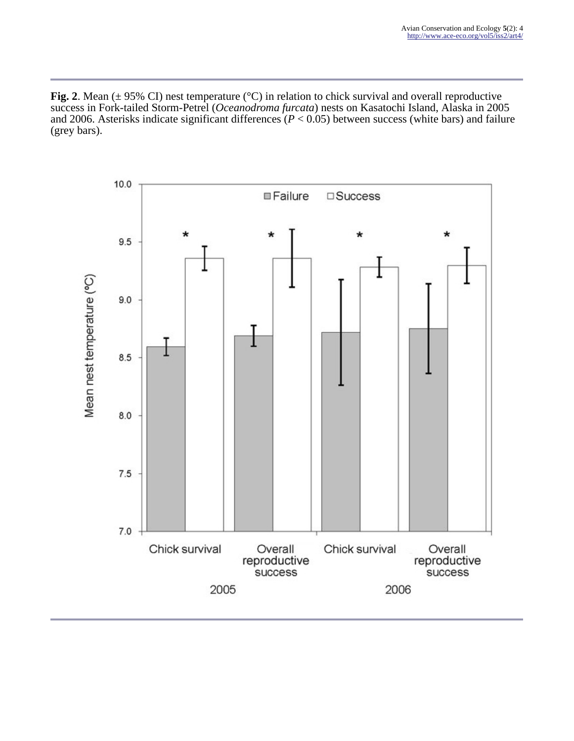**Fig. 2**. Mean  $(\pm 95\% \text{ CI})$  nest temperature ( $^{\circ}$ C) in relation to chick survival and overall reproductive success in Fork-tailed Storm-Petrel (*Oceanodroma furcata*) nests on Kasatochi Island, Alaska in 2005 and 2006. Asterisks indicate significant differences (*P* < 0.05) between success (white bars) and failure (grey bars).

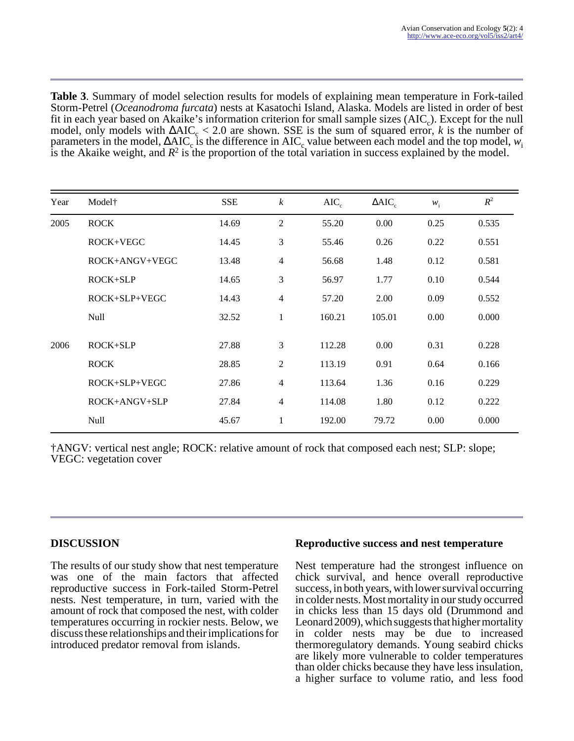**Table 3**. Summary of model selection results for models of explaining mean temperature in Fork-tailed Storm-Petrel (*Oceanodroma furcata*) nests at Kasatochi Island, Alaska. Models are listed in order of best fit in each year based on Akaike's information criterion for small sample sizes  $(AIC_c)$ . Except for the null model, only models with  $\triangle AIC_c$  < 2.0 are shown. SSE is the sum of squared error, *k* is the number of parameters in the model,  $\Delta AIC_c$  is the difference in AIC<sub>c</sub> value between each model and the top model,  $w_i$ is the Akaike weight, and  $R^2$  is the proportion of the total variation in success explained by the model.

| Year | Model <sup>+</sup> | <b>SSE</b> | $\boldsymbol{k}$ | $AIC_c$ | $\triangle AIC$ | $W_i$ | $\mathbb{R}^2$ |
|------|--------------------|------------|------------------|---------|-----------------|-------|----------------|
| 2005 | <b>ROCK</b>        | 14.69      | $\overline{2}$   | 55.20   | 0.00            | 0.25  | 0.535          |
|      | $ROCK+VEGC$        | 14.45      | 3                | 55.46   | 0.26            | 0.22  | 0.551          |
|      | ROCK+ANGV+VEGC     | 13.48      | $\overline{4}$   | 56.68   | 1.48            | 0.12  | 0.581          |
|      | $ROCK+SLP$         | 14.65      | 3                | 56.97   | 1.77            | 0.10  | 0.544          |
|      | $ROCK+SLP+VEGC$    | 14.43      | $\overline{4}$   | 57.20   | 2.00            | 0.09  | 0.552          |
|      | <b>Null</b>        | 32.52      | 1                | 160.21  | 105.01          | 0.00  | 0.000          |
| 2006 | $ROCK+SLP$         | 27.88      | 3                | 112.28  | 0.00            | 0.31  | 0.228          |
|      | <b>ROCK</b>        | 28.85      | 2                | 113.19  | 0.91            | 0.64  | 0.166          |
|      | ROCK+SLP+VEGC      | 27.86      | $\overline{4}$   | 113.64  | 1.36            | 0.16  | 0.229          |
|      | $ROCK+ANGV+SLP$    | 27.84      | $\overline{4}$   | 114.08  | 1.80            | 0.12  | 0.222          |
|      | <b>Null</b>        | 45.67      | 1                | 192.00  | 79.72           | 0.00  | 0.000          |

†ANGV: vertical nest angle; ROCK: relative amount of rock that composed each nest; SLP: slope; VEGC: vegetation cover

# **DISCUSSION**

The results of our study show that nest temperature was one of the main factors that affected reproductive success in Fork-tailed Storm-Petrel nests. Nest temperature, in turn, varied with the amount of rock that composed the nest, with colder temperatures occurring in rockier nests. Below, we discuss these relationships and their implications for introduced predator removal from islands.

#### **Reproductive success and nest temperature**

Nest temperature had the strongest influence on chick survival, and hence overall reproductive success, in both years, with lower survival occurring in colder nests. Most mortality in our study occurred in chicks less than 15 days old (Drummond and Leonard 2009), which suggests that higher mortality in colder nests may be due to increased thermoregulatory demands. Young seabird chicks are likely more vulnerable to colder temperatures than older chicks because they have less insulation, a higher surface to volume ratio, and less food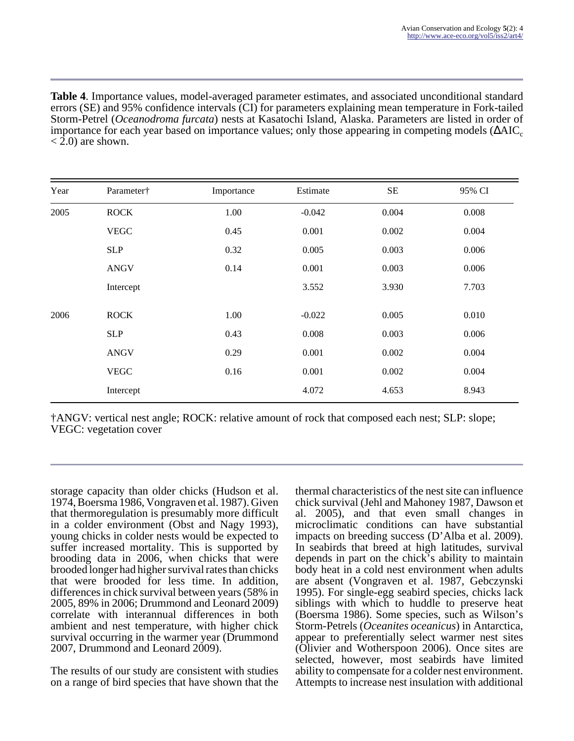**Table 4**. Importance values, model-averaged parameter estimates, and associated unconditional standard errors (SE) and 95% confidence intervals (CI) for parameters explaining mean temperature in Fork-tailed Storm-Petrel (*Oceanodroma furcata*) nests at Kasatochi Island, Alaska. Parameters are listed in order of importance for each year based on importance values; only those appearing in competing models ( $\triangle AIC_c$  $<$  2.0) are shown.

| Year | Parameter†  | Importance | Estimate | <b>SE</b> | 95% CI |
|------|-------------|------------|----------|-----------|--------|
| 2005 | <b>ROCK</b> | 1.00       | $-0.042$ | 0.004     | 0.008  |
|      | <b>VEGC</b> | 0.45       | 0.001    | 0.002     | 0.004  |
|      | <b>SLP</b>  | 0.32       | 0.005    | 0.003     | 0.006  |
|      | <b>ANGV</b> | 0.14       | 0.001    | 0.003     | 0.006  |
|      | Intercept   |            | 3.552    | 3.930     | 7.703  |
| 2006 | <b>ROCK</b> | 1.00       | $-0.022$ | 0.005     | 0.010  |
|      | <b>SLP</b>  | 0.43       | 0.008    | 0.003     | 0.006  |
|      | <b>ANGV</b> | 0.29       | 0.001    | 0.002     | 0.004  |
|      | <b>VEGC</b> | 0.16       | 0.001    | 0.002     | 0.004  |
|      | Intercept   |            | 4.072    | 4.653     | 8.943  |

†ANGV: vertical nest angle; ROCK: relative amount of rock that composed each nest; SLP: slope; VEGC: vegetation cover

storage capacity than older chicks (Hudson et al. 1974, Boersma 1986, Vongraven et al. 1987). Given that thermoregulation is presumably more difficult in a colder environment (Obst and Nagy 1993), young chicks in colder nests would be expected to suffer increased mortality. This is supported by brooding data in 2006, when chicks that were brooded longer had higher survival rates than chicks that were brooded for less time. In addition, differences in chick survival between years (58% in 2005, 89% in 2006; Drummond and Leonard 2009) correlate with interannual differences in both ambient and nest temperature, with higher chick survival occurring in the warmer year (Drummond 2007, Drummond and Leonard 2009).

The results of our study are consistent with studies on a range of bird species that have shown that the thermal characteristics of the nest site can influence chick survival (Jehl and Mahoney 1987, Dawson et al. 2005), and that even small changes in microclimatic conditions can have substantial impacts on breeding success (D'Alba et al. 2009). In seabirds that breed at high latitudes, survival depends in part on the chick's ability to maintain body heat in a cold nest environment when adults are absent (Vongraven et al. 1987, Gebczynski 1995). For single-egg seabird species, chicks lack siblings with which to huddle to preserve heat (Boersma 1986). Some species, such as Wilson's Storm-Petrels (*Oceanites oceanicus*) in Antarctica, appear to preferentially select warmer nest sites (Olivier and Wotherspoon 2006). Once sites are selected, however, most seabirds have limited ability to compensate for a colder nest environment. Attempts to increase nest insulation with additional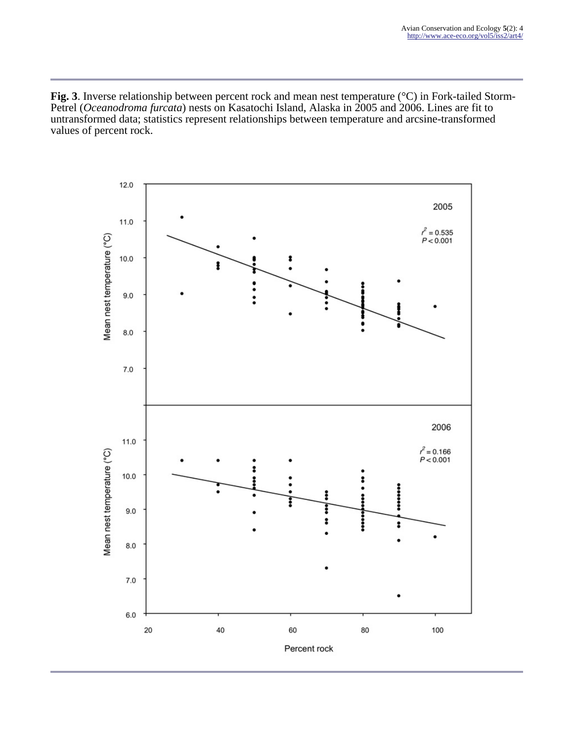**Fig. 3**. Inverse relationship between percent rock and mean nest temperature (°C) in Fork-tailed Storm-Petrel (*Oceanodroma furcata*) nests on Kasatochi Island, Alaska in 2005 and 2006. Lines are fit to untransformed data; statistics represent relationships between temperature and arcsine-transformed values of percent rock.

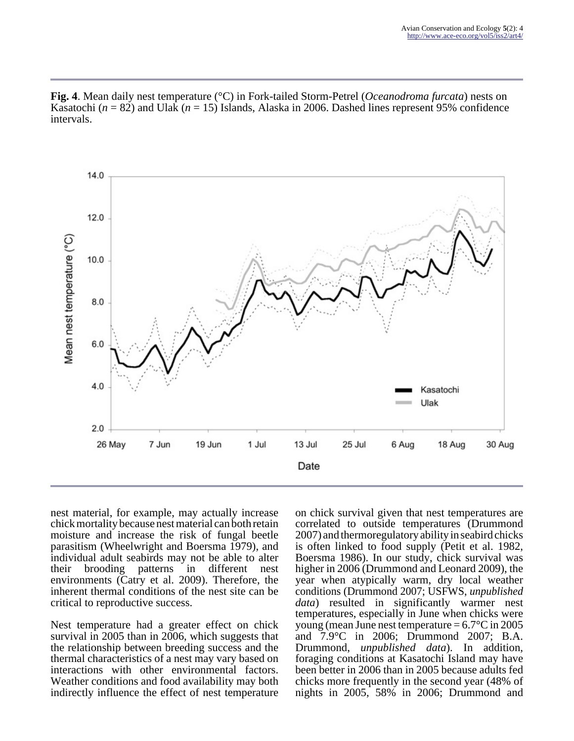

**Fig. 4**. Mean daily nest temperature (°C) in Fork-tailed Storm-Petrel (*Oceanodroma furcata*) nests on Kasatochi (*n* = 82) and Ulak (*n* = 15) Islands, Alaska in 2006. Dashed lines represent 95% confidence intervals.

nest material, for example, may actually increase chick mortality because nest material can both retain moisture and increase the risk of fungal beetle parasitism (Wheelwright and Boersma 1979), and individual adult seabirds may not be able to alter their brooding patterns in different nest environments (Catry et al. 2009). Therefore, the inherent thermal conditions of the nest site can be critical to reproductive success.

Nest temperature had a greater effect on chick survival in 2005 than in 2006, which suggests that the relationship between breeding success and the thermal characteristics of a nest may vary based on interactions with other environmental factors. Weather conditions and food availability may both indirectly influence the effect of nest temperature

on chick survival given that nest temperatures are correlated to outside temperatures (Drummond 2007) and thermoregulatory ability in seabird chicks is often linked to food supply (Petit et al. 1982, Boersma 1986). In our study, chick survival was higher in 2006 (Drummond and Leonard 2009), the year when atypically warm, dry local weather conditions (Drummond 2007; USFWS, *unpublished data*) resulted in significantly warmer nest temperatures, especially in June when chicks were young (mean June nest temperature  $= 6.7$ °C in 2005 and 7.9°C in 2006; Drummond 2007; B.A. Drummond, *unpublished data*). In addition, foraging conditions at Kasatochi Island may have been better in 2006 than in 2005 because adults fed chicks more frequently in the second year (48% of nights in 2005, 58% in 2006; Drummond and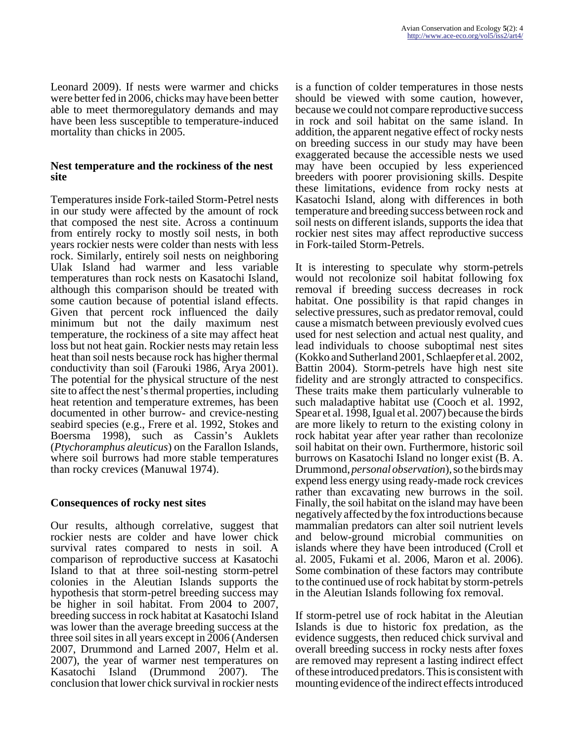Leonard 2009). If nests were warmer and chicks were better fed in 2006, chicks may have been better able to meet thermoregulatory demands and may have been less susceptible to temperature-induced mortality than chicks in 2005.

### **Nest temperature and the rockiness of the nest site**

Temperatures inside Fork-tailed Storm-Petrel nests in our study were affected by the amount of rock that composed the nest site. Across a continuum from entirely rocky to mostly soil nests, in both years rockier nests were colder than nests with less rock. Similarly, entirely soil nests on neighboring Ulak Island had warmer and less variable temperatures than rock nests on Kasatochi Island, although this comparison should be treated with some caution because of potential island effects. Given that percent rock influenced the daily minimum but not the daily maximum nest temperature, the rockiness of a site may affect heat loss but not heat gain. Rockier nests may retain less heat than soil nests because rock has higher thermal conductivity than soil (Farouki 1986, Arya 2001). The potential for the physical structure of the nest site to affect the nest's thermal properties, including heat retention and temperature extremes, has been documented in other burrow- and crevice-nesting seabird species (e.g., Frere et al. 1992, Stokes and Boersma 1998), such as Cassin's Auklets (*Ptychoramphus aleuticus*) on the Farallon Islands, where soil burrows had more stable temperatures than rocky crevices (Manuwal 1974).

# **Consequences of rocky nest sites**

Our results, although correlative, suggest that rockier nests are colder and have lower chick survival rates compared to nests in soil. A comparison of reproductive success at Kasatochi Island to that at three soil-nesting storm-petrel colonies in the Aleutian Islands supports the hypothesis that storm-petrel breeding success may be higher in soil habitat. From 2004 to 2007, breeding success in rock habitat at Kasatochi Island was lower than the average breeding success at the three soil sites in all years except in 2006 (Andersen 2007, Drummond and Larned 2007, Helm et al. 2007), the year of warmer nest temperatures on Kasatochi Island (Drummond 2007). The conclusion that lower chick survival in rockier nests

is a function of colder temperatures in those nests should be viewed with some caution, however, because we could not compare reproductive success in rock and soil habitat on the same island. In addition, the apparent negative effect of rocky nests on breeding success in our study may have been exaggerated because the accessible nests we used may have been occupied by less experienced breeders with poorer provisioning skills. Despite these limitations, evidence from rocky nests at Kasatochi Island, along with differences in both temperature and breeding success between rock and soil nests on different islands, supports the idea that rockier nest sites may affect reproductive success in Fork-tailed Storm-Petrels.

It is interesting to speculate why storm-petrels would not recolonize soil habitat following fox removal if breeding success decreases in rock habitat. One possibility is that rapid changes in selective pressures, such as predator removal, could cause a mismatch between previously evolved cues used for nest selection and actual nest quality, and lead individuals to choose suboptimal nest sites (Kokko and Sutherland 2001, Schlaepfer et al. 2002, Battin 2004). Storm-petrels have high nest site fidelity and are strongly attracted to conspecifics. These traits make them particularly vulnerable to such maladaptive habitat use (Cooch et al. 1992, Spear et al. 1998, Igual et al. 2007) because the birds are more likely to return to the existing colony in rock habitat year after year rather than recolonize soil habitat on their own. Furthermore, historic soil burrows on Kasatochi Island no longer exist (B. A. Drummond, *personal observation*), so the birds may expend less energy using ready-made rock crevices rather than excavating new burrows in the soil. Finally, the soil habitat on the island may have been negatively affected by the fox introductions because mammalian predators can alter soil nutrient levels and below-ground microbial communities on islands where they have been introduced (Croll et al. 2005, Fukami et al. 2006, Maron et al. 2006). Some combination of these factors may contribute to the continued use of rock habitat by storm-petrels in the Aleutian Islands following fox removal.

If storm-petrel use of rock habitat in the Aleutian Islands is due to historic fox predation, as the evidence suggests, then reduced chick survival and overall breeding success in rocky nests after foxes are removed may represent a lasting indirect effect of these introduced predators. This is consistent with mounting evidence of the indirect effects introduced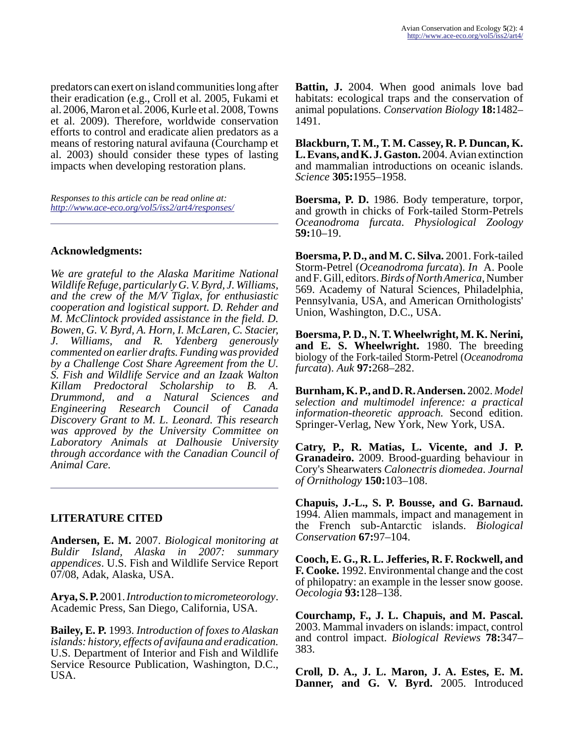predators can exert on island communities long after their eradication (e.g., Croll et al. 2005, Fukami et al. 2006, Maron et al. 2006, Kurle et al. 2008, Towns et al. 2009). Therefore, worldwide conservation efforts to control and eradicate alien predators as a means of restoring natural avifauna (Courchamp et al. 2003) should consider these types of lasting impacts when developing restoration plans.

*Responses to this article can be read online at: <http://www.ace-eco.org/vol5/iss2/art4/responses/>*

# **Acknowledgments:**

*We are grateful to the Alaska Maritime National Wildlife Refuge, particularly G. V. Byrd, J. Williams, and the crew of the M/V Tiglax, for enthusiastic cooperation and logistical support. D. Rehder and M. McClintock provided assistance in the field. D. Bowen, G. V. Byrd, A. Horn, I. McLaren, C. Stacier, J. Williams, and R. Ydenberg generously commented on earlier drafts. Funding was provided by a Challenge Cost Share Agreement from the U. S. Fish and Wildlife Service and an Izaak Walton Killam Predoctoral Scholarship to B. A. Drummond, and a Natural Sciences and Engineering Research Council of Canada Discovery Grant to M. L. Leonard. This research was approved by the University Committee on Laboratory Animals at Dalhousie University through accordance with the Canadian Council of Animal Care.*

# **LITERATURE CITED**

**Andersen, E. M.** 2007. *Biological monitoring at Buldir Island, Alaska in 2007: summary appendices*. U.S. Fish and Wildlife Service Report 07/08, Adak, Alaska, USA.

**Arya, S. P.** 2001. *Introduction to micrometeorology*. Academic Press, San Diego, California, USA.

**Bailey, E. P.** 1993. *Introduction of foxes to Alaskan islands: history, effects of avifauna and eradication.* U.S. Department of Interior and Fish and Wildlife Service Resource Publication, Washington, D.C., USA.

**Battin, J.** 2004. When good animals love bad habitats: ecological traps and the conservation of animal populations. *Conservation Biology* **18:**1482– 1491.

**Blackburn, T. M., T. M. Cassey, R. P. Duncan, K. L. Evans, and K. J. Gaston.** 2004. Avian extinction and mammalian introductions on oceanic islands. *Science* **305:**1955–1958.

**Boersma, P. D.** 1986. Body temperature, torpor, and growth in chicks of Fork-tailed Storm-Petrels *Oceanodroma furcata*. *Physiological Zoology* **59:**10–19.

**Boersma, P. D., and M. C. Silva.** 2001. Fork-tailed Storm-Petrel (*Oceanodroma furcata*). *In* A. Poole and F. Gill, editors. *Birds of North America*, Number 569. Academy of Natural Sciences, Philadelphia, Pennsylvania, USA, and American Ornithologists' Union, Washington, D.C., USA.

**Boersma, P. D., N. T. Wheelwright, M. K. Nerini, and E. S. Wheelwright.** 1980. The breeding biology of the Fork-tailed Storm-Petrel (*Oceanodroma furcata*). *Auk* **97:**268–282.

**Burnham, K. P., and D. R. Andersen.** 2002. *Model selection and multimodel inference: a practical information-theoretic approach.* Second edition. Springer-Verlag, New York, New York, USA.

**Catry, P., R. Matias, L. Vicente, and J. P. Granadeiro.** 2009. Brood-guarding behaviour in Cory's Shearwaters *Calonectris diomedea*. *Journal of Ornithology* **150:**103–108.

**Chapuis, J.-L., S. P. Bousse, and G. Barnaud.** 1994. Alien mammals, impact and management in the French sub-Antarctic islands. *Biological Conservation* **67:**97–104.

**Cooch, E. G., R. L. Jefferies, R. F. Rockwell, and F. Cooke.** 1992. Environmental change and the cost of philopatry: an example in the lesser snow goose. *Oecologia* **93:**128–138.

**Courchamp, F., J. L. Chapuis, and M. Pascal.** 2003. Mammal invaders on islands: impact, control and control impact. *Biological Reviews* **78:**347– 383.

**Croll, D. A., J. L. Maron, J. A. Estes, E. M. Danner, and G. V. Byrd.** 2005. Introduced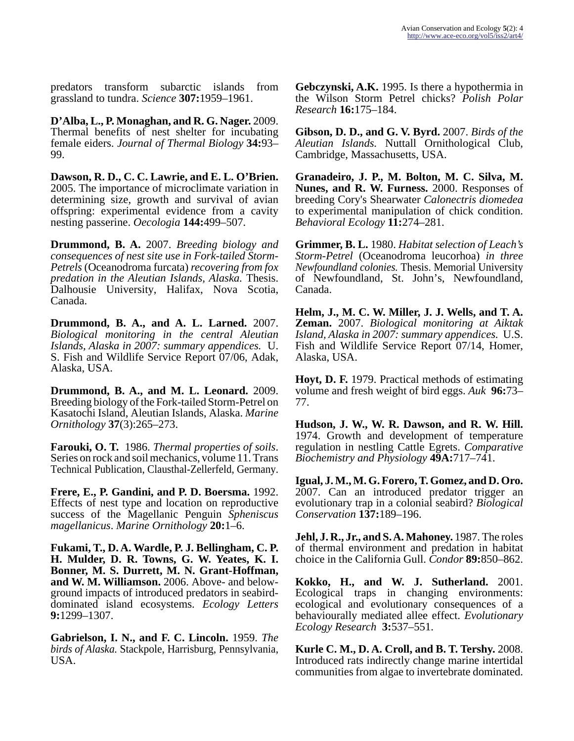predators transform subarctic islands from grassland to tundra. *Science* **307:**1959–1961.

**D'Alba, L., P. Monaghan, and R. G. Nager.** 2009. Thermal benefits of nest shelter for incubating female eiders. *Journal of Thermal Biology* **34:**93– 99.

**Dawson, R. D., C. C. Lawrie, and E. L. O'Brien.** 2005. The importance of microclimate variation in determining size, growth and survival of avian offspring: experimental evidence from a cavity nesting passerine. *Oecologia* **144:**499–507.

**Drummond, B. A.** 2007. *Breeding biology and consequences of nest site use in Fork-tailed Storm-Petrels* (Oceanodroma furcata) *recovering from fox predation in the Aleutian Islands, Alaska.* Thesis. Dalhousie University, Halifax, Nova Scotia, Canada.

**Drummond, B. A., and A. L. Larned.** 2007. *Biological monitoring in the central Aleutian Islands, Alaska in 2007: summary appendices.* U. S. Fish and Wildlife Service Report 07/06, Adak, Alaska, USA.

**Drummond, B. A., and M. L. Leonard.** 2009. Breeding biology of the Fork-tailed Storm-Petrel on Kasatochi Island, Aleutian Islands, Alaska. *Marine Ornithology* **37**(3):265–273.

**Farouki, O. T.** 1986. *Thermal properties of soils*. Series on rock and soil mechanics, volume 11. Trans Technical Publication, Clausthal-Zellerfeld, Germany.

**Frere, E., P. Gandini, and P. D. Boersma.** 1992. Effects of nest type and location on reproductive success of the Magellanic Penguin *Spheniscus magellanicus*. *Marine Ornithology* **20:**1–6.

**Fukami, T., D. A. Wardle, P. J. Bellingham, C. P. H. Mulder, D. R. Towns, G. W. Yeates, K. I. Bonner, M. S. Durrett, M. N. Grant-Hoffman, and W. M. Williamson.** 2006. Above- and belowground impacts of introduced predators in seabirddominated island ecosystems. *Ecology Letters* **9:**1299–1307.

**Gabrielson, I. N., and F. C. Lincoln.** 1959. *The birds of Alaska.* Stackpole, Harrisburg, Pennsylvania, USA.

**Gebczynski, A.K.** 1995. Is there a hypothermia in the Wilson Storm Petrel chicks? *Polish Polar Research* **16:**175–184.

**Gibson, D. D., and G. V. Byrd.** 2007. *Birds of the Aleutian Islands.* Nuttall Ornithological Club, Cambridge, Massachusetts, USA.

**Granadeiro, J. P., M. Bolton, M. C. Silva, M. Nunes, and R. W. Furness.** 2000. Responses of breeding Cory's Shearwater *Calonectris diomedea* to experimental manipulation of chick condition. *Behavioral Ecology* **11:**274–281.

**Grimmer, B. L.** 1980. *Habitat selection of Leach's Storm-Petrel* (Oceanodroma leucorhoa) *in three Newfoundland colonies.* Thesis. Memorial University of Newfoundland, St. John's, Newfoundland, Canada.

**Helm, J., M. C. W. Miller, J. J. Wells, and T. A. Zeman.** 2007. *Biological monitoring at Aiktak Island, Alaska in 2007: summary appendices.* U.S. Fish and Wildlife Service Report 07/14, Homer, Alaska, USA.

**Hoyt, D. F.** 1979. Practical methods of estimating volume and fresh weight of bird eggs. *Auk* **96:**73– 77.

**Hudson, J. W., W. R. Dawson, and R. W. Hill.** 1974. Growth and development of temperature regulation in nestling Cattle Egrets. *Comparative Biochemistry and Physiology* **49A:**717–741.

**Igual, J. M., M. G. Forero, T. Gomez, and D. Oro.** 2007. Can an introduced predator trigger an evolutionary trap in a colonial seabird? *Biological Conservation* **137:**189–196.

**Jehl, J. R., Jr., and S. A. Mahoney.** 1987. The roles of thermal environment and predation in habitat choice in the California Gull. *Condor* **89:**850–862.

**Kokko, H., and W. J. Sutherland.** 2001. Ecological traps in changing environments: ecological and evolutionary consequences of a behaviourally mediated allee effect. *Evolutionary Ecology Research* **3:**537–551.

**Kurle C. M., D. A. Croll, and B. T. Tershy.** 2008. Introduced rats indirectly change marine intertidal communities from algae to invertebrate dominated.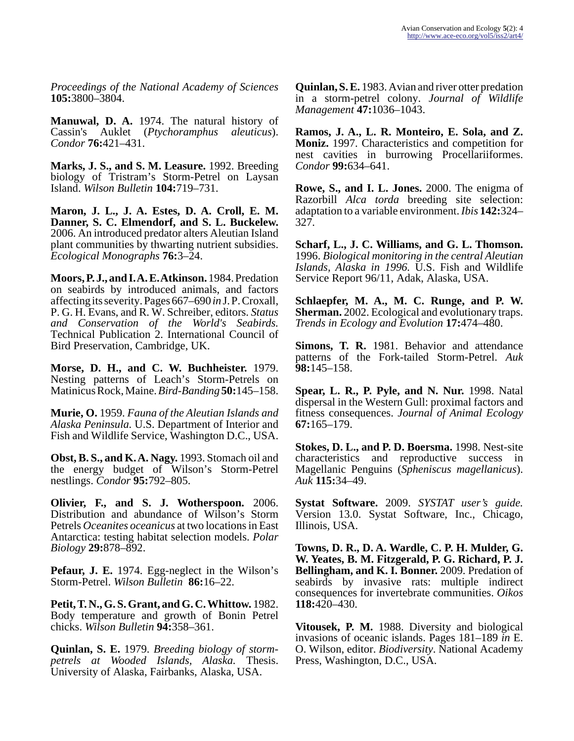*Proceedings of the National Academy of Sciences* **105:**3800–3804.

**Manuwal, D. A.** 1974. The natural history of Cassin's Auklet (*Ptychoramphus aleuticus*). *Condor* **76:**421–431.

**Marks, J. S., and S. M. Leasure.** 1992. Breeding biology of Tristram's Storm-Petrel on Laysan Island. *Wilson Bulletin* **104:**719–731.

**Maron, J. L., J. A. Estes, D. A. Croll, E. M. Danner, S. C. Elmendorf, and S. L. Buckelew.** 2006. An introduced predator alters Aleutian Island plant communities by thwarting nutrient subsidies. *Ecological Monographs* **76:**3–24.

**Moors, P. J., and I. A. E. Atkinson.** 1984. Predation on seabirds by introduced animals, and factors affecting its severity. Pages 667–690 *in* J. P. Croxall, P. G. H. Evans, and R. W. Schreiber, editors. *Status and Conservation of the World's Seabirds.* Technical Publication 2. International Council of Bird Preservation, Cambridge, UK.

**Morse, D. H., and C. W. Buchheister.** 1979. Nesting patterns of Leach's Storm-Petrels on Matinicus Rock, Maine. *Bird-Banding* **50:**145–158.

**Murie, O.** 1959. *Fauna of the Aleutian Islands and Alaska Peninsula.* U.S. Department of Interior and Fish and Wildlife Service, Washington D.C., USA.

**Obst, B. S., and K. A. Nagy.** 1993. Stomach oil and the energy budget of Wilson's Storm-Petrel nestlings. *Condor* **95:**792–805.

**Olivier, F., and S. J. Wotherspoon.** 2006. Distribution and abundance of Wilson's Storm Petrels *Oceanites oceanicus* at two locations in East Antarctica: testing habitat selection models. *Polar Biology* **29:**878–892.

**Pefaur, J. E.** 1974. Egg-neglect in the Wilson's Storm-Petrel. *Wilson Bulletin* **86:**16–22.

**Petit, T. N., G. S. Grant, and G. C. Whittow.** 1982. Body temperature and growth of Bonin Petrel chicks. *Wilson Bulletin* **94:**358–361.

**Quinlan, S. E.** 1979. *Breeding biology of stormpetrels at Wooded Islands, Alaska.* Thesis. University of Alaska, Fairbanks, Alaska, USA.

**Quinlan, S. E.** 1983. Avian and river otter predation in a storm-petrel colony. *Journal of Wildlife Management* **47:**1036–1043.

**Ramos, J. A., L. R. Monteiro, E. Sola, and Z. Moniz.** 1997. Characteristics and competition for nest cavities in burrowing Procellariiformes. *Condor* **99:**634–641.

**Rowe, S., and I. L. Jones.** 2000. The enigma of Razorbill *Alca torda* breeding site selection: adaptation to a variable environment. *Ibis* **142:**324– 327.

**Scharf, L., J. C. Williams, and G. L. Thomson.** 1996. *Biological monitoring in the central Aleutian Islands, Alaska in 1996.* U.S. Fish and Wildlife Service Report 96/11, Adak, Alaska, USA.

**Schlaepfer, M. A., M. C. Runge, and P. W. Sherman.** 2002. Ecological and evolutionary traps. *Trends in Ecology and Evolution* **17:**474–480.

**Simons, T. R.** 1981. Behavior and attendance patterns of the Fork-tailed Storm-Petrel. *Auk* **98:**145–158.

**Spear, L. R., P. Pyle, and N. Nur.** 1998. Natal dispersal in the Western Gull: proximal factors and fitness consequences. *Journal of Animal Ecology* **67:**165–179.

**Stokes, D. L., and P. D. Boersma.** 1998. Nest-site characteristics and reproductive success in Magellanic Penguins (*Spheniscus magellanicus*). *Auk* **115:**34–49.

**Systat Software.** 2009. *SYSTAT user's guide.* Version 13.0. Systat Software, Inc., Chicago, Illinois, USA.

**Towns, D. R., D. A. Wardle, C. P. H. Mulder, G. W. Yeates, B. M. Fitzgerald, P. G. Richard, P. J. Bellingham, and K. I. Bonner.** 2009. Predation of seabirds by invasive rats: multiple indirect consequences for invertebrate communities. *Oikos* **118:**420–430.

**Vitousek, P. M.** 1988. Diversity and biological invasions of oceanic islands. Pages 181–189 *in* E. O. Wilson, editor. *Biodiversity*. National Academy Press, Washington, D.C., USA.